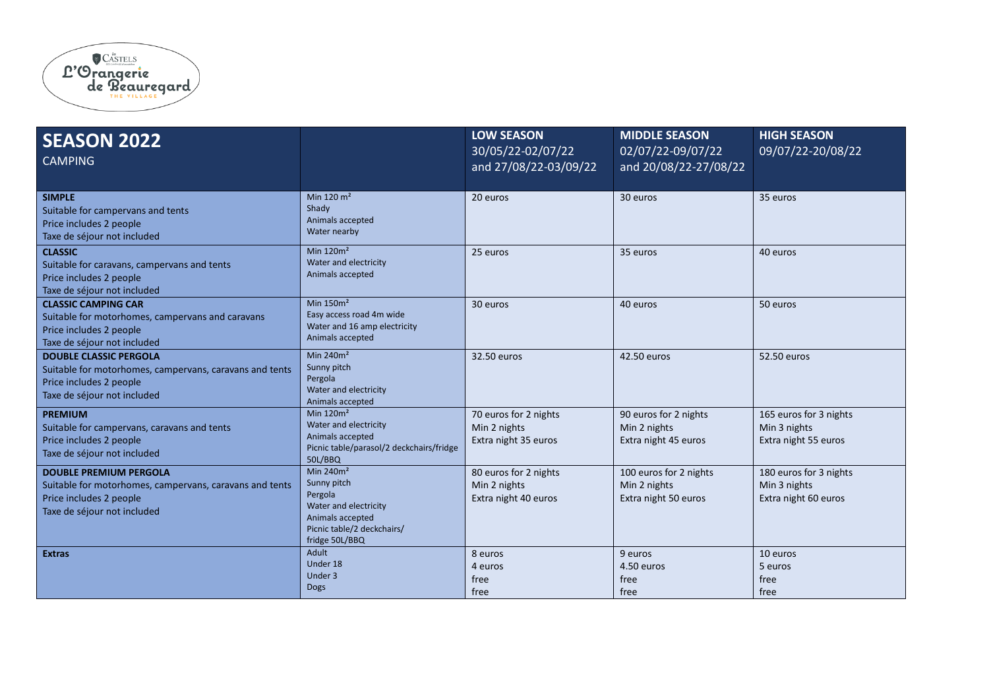

| <b>SEASON 2022</b><br><b>CAMPING</b>                                                                                                               |                                                                                                                                    | <b>LOW SEASON</b><br>30/05/22-02/07/22<br>and 27/08/22-03/09/22 | <b>MIDDLE SEASON</b><br>02/07/22-09/07/22<br>and 20/08/22-27/08/22 | <b>HIGH SEASON</b><br>09/07/22-20/08/22                        |
|----------------------------------------------------------------------------------------------------------------------------------------------------|------------------------------------------------------------------------------------------------------------------------------------|-----------------------------------------------------------------|--------------------------------------------------------------------|----------------------------------------------------------------|
| <b>SIMPLE</b><br>Suitable for campervans and tents<br>Price includes 2 people<br>Taxe de séjour not included                                       | Min 120 $m2$<br>Shady<br>Animals accepted<br>Water nearby                                                                          | 20 euros                                                        | 30 euros                                                           | 35 euros                                                       |
| <b>CLASSIC</b><br>Suitable for caravans, campervans and tents<br>Price includes 2 people<br>Taxe de séjour not included                            | Min $120m^2$<br>Water and electricity<br>Animals accepted                                                                          | 25 euros                                                        | 35 euros                                                           | 40 euros                                                       |
| <b>CLASSIC CAMPING CAR</b><br>Suitable for motorhomes, campervans and caravans<br>Price includes 2 people<br>Taxe de séjour not included           | Min $150m2$<br>Easy access road 4m wide<br>Water and 16 amp electricity<br>Animals accepted                                        | 30 euros                                                        | 40 euros                                                           | 50 euros                                                       |
| <b>DOUBLE CLASSIC PERGOLA</b><br>Suitable for motorhomes, campervans, caravans and tents<br>Price includes 2 people<br>Taxe de séjour not included | Min $240m^2$<br>Sunny pitch<br>Pergola<br>Water and electricity<br>Animals accepted                                                | 32.50 euros                                                     | 42.50 euros                                                        | 52.50 euros                                                    |
| <b>PREMIUM</b><br>Suitable for campervans, caravans and tents<br>Price includes 2 people<br>Taxe de séjour not included                            | Min $120m^2$<br>Water and electricity<br>Animals accepted<br>Picnic table/parasol/2 deckchairs/fridge<br>50L/BBQ                   | 70 euros for 2 nights<br>Min 2 nights<br>Extra night 35 euros   | 90 euros for 2 nights<br>Min 2 nights<br>Extra night 45 euros      | 165 euros for 3 nights<br>Min 3 nights<br>Extra night 55 euros |
| <b>DOUBLE PREMIUM PERGOLA</b><br>Suitable for motorhomes, campervans, caravans and tents<br>Price includes 2 people<br>Taxe de séjour not included | Min $240m2$<br>Sunny pitch<br>Pergola<br>Water and electricity<br>Animals accepted<br>Picnic table/2 deckchairs/<br>fridge 50L/BBQ | 80 euros for 2 nights<br>Min 2 nights<br>Extra night 40 euros   | 100 euros for 2 nights<br>Min 2 nights<br>Extra night 50 euros     | 180 euros for 3 nights<br>Min 3 nights<br>Extra night 60 euros |
| <b>Extras</b>                                                                                                                                      | Adult<br>Under 18<br>Under 3<br><b>Dogs</b>                                                                                        | 8 euros<br>4 euros<br>free<br>free                              | 9 euros<br>4.50 euros<br>free<br>free                              | 10 euros<br>5 euros<br>free<br>free                            |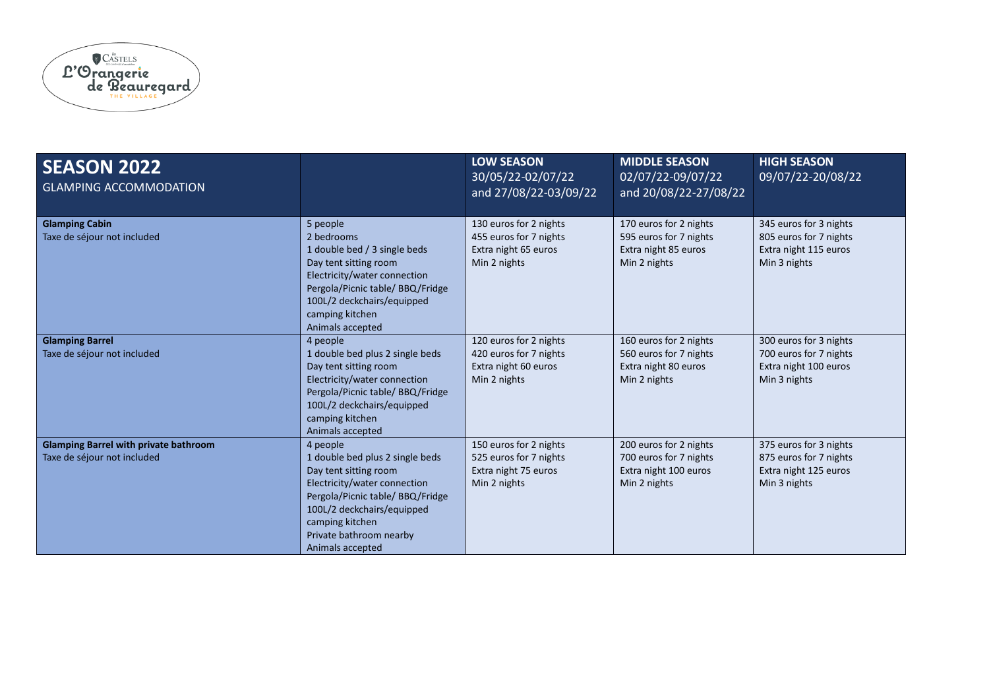

| <b>SEASON 2022</b><br><b>GLAMPING ACCOMMODATION</b>                         |                                                                                                                                                                                                                                          | <b>LOW SEASON</b><br>30/05/22-02/07/22<br>and 27/08/22-03/09/22                          | <b>MIDDLE SEASON</b><br>02/07/22-09/07/22<br>and 20/08/22-27/08/22                        | <b>HIGH SEASON</b><br>09/07/22-20/08/22                                                   |
|-----------------------------------------------------------------------------|------------------------------------------------------------------------------------------------------------------------------------------------------------------------------------------------------------------------------------------|------------------------------------------------------------------------------------------|-------------------------------------------------------------------------------------------|-------------------------------------------------------------------------------------------|
| <b>Glamping Cabin</b><br>Taxe de séjour not included                        | 5 people<br>2 bedrooms<br>1 double bed / 3 single beds<br>Day tent sitting room<br>Electricity/water connection<br>Pergola/Picnic table/ BBQ/Fridge<br>100L/2 deckchairs/equipped<br>camping kitchen<br>Animals accepted                 | 130 euros for 2 nights<br>455 euros for 7 nights<br>Extra night 65 euros<br>Min 2 nights | 170 euros for 2 nights<br>595 euros for 7 nights<br>Extra night 85 euros<br>Min 2 nights  | 345 euros for 3 nights<br>805 euros for 7 nights<br>Extra night 115 euros<br>Min 3 nights |
| <b>Glamping Barrel</b><br>Taxe de séjour not included                       | 4 people<br>1 double bed plus 2 single beds<br>Day tent sitting room<br>Electricity/water connection<br>Pergola/Picnic table/ BBQ/Fridge<br>100L/2 deckchairs/equipped<br>camping kitchen<br>Animals accepted                            | 120 euros for 2 nights<br>420 euros for 7 nights<br>Extra night 60 euros<br>Min 2 nights | 160 euros for 2 nights<br>560 euros for 7 nights<br>Extra night 80 euros<br>Min 2 nights  | 300 euros for 3 nights<br>700 euros for 7 nights<br>Extra night 100 euros<br>Min 3 nights |
| <b>Glamping Barrel with private bathroom</b><br>Taxe de séjour not included | 4 people<br>1 double bed plus 2 single beds<br>Day tent sitting room<br>Electricity/water connection<br>Pergola/Picnic table/ BBQ/Fridge<br>100L/2 deckchairs/equipped<br>camping kitchen<br>Private bathroom nearby<br>Animals accepted | 150 euros for 2 nights<br>525 euros for 7 nights<br>Extra night 75 euros<br>Min 2 nights | 200 euros for 2 nights<br>700 euros for 7 nights<br>Extra night 100 euros<br>Min 2 nights | 375 euros for 3 nights<br>875 euros for 7 nights<br>Extra night 125 euros<br>Min 3 nights |